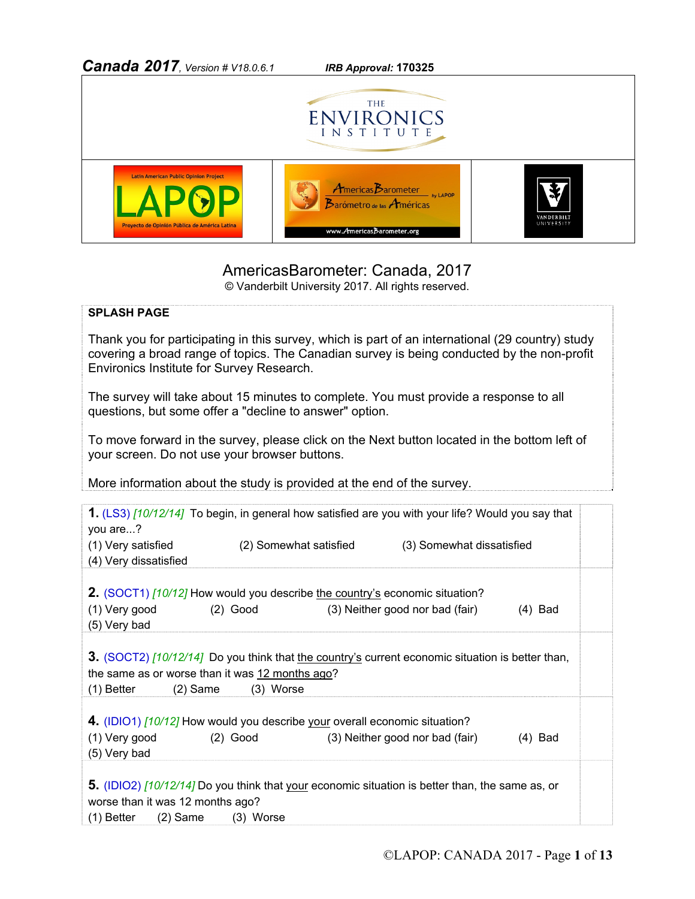

## AmericasBarometer: Canada, 2017

© Vanderbilt University 2017. All rights reserved.

## **SPLASH PAGE**

Thank you for participating in this survey, which is part of an international (29 country) study covering a broad range of topics. The Canadian survey is being conducted by the non-profit Environics Institute for Survey Research.

The survey will take about 15 minutes to complete. You must provide a response to all questions, but some offer a "decline to answer" option.

To move forward in the survey, please click on the Next button located in the bottom left of your screen. Do not use your browser buttons.

More information about the study is provided at the end of the survey.

| 1. (LS3) [10/12/14] To begin, in general how satisfied are you with your life? Would you say that<br>you are?                                                                   |                        |  |                                 |           |  |
|---------------------------------------------------------------------------------------------------------------------------------------------------------------------------------|------------------------|--|---------------------------------|-----------|--|
| (1) Very satisfied<br>(4) Very dissatisfied                                                                                                                                     | (2) Somewhat satisfied |  | (3) Somewhat dissatisfied       |           |  |
| 2. (SOCT1) [10/12] How would you describe the country's economic situation?<br>(1) Very good<br>(5) Very bad                                                                    | $(2)$ Good             |  | (3) Neither good nor bad (fair) | $(4)$ Bad |  |
| 3. (SOCT2) [10/12/14] Do you think that the country's current economic situation is better than,<br>the same as or worse than it was 12 months ago?<br>(1) Better<br>$(2)$ Same | (3) Worse              |  |                                 |           |  |
| 4. (IDIO1) [10/12] How would you describe your overall economic situation?<br>(1) Very good                                                                                     | $(2)$ Good             |  | (3) Neither good nor bad (fair) | $(4)$ Bad |  |
| (5) Very bad<br>5. (IDIO2) [10/12/14] Do you think that your economic situation is better than, the same as, or                                                                 |                        |  |                                 |           |  |
| worse than it was 12 months ago?<br>$(1)$ Better $(2)$ Same $(3)$ Worse                                                                                                         |                        |  |                                 |           |  |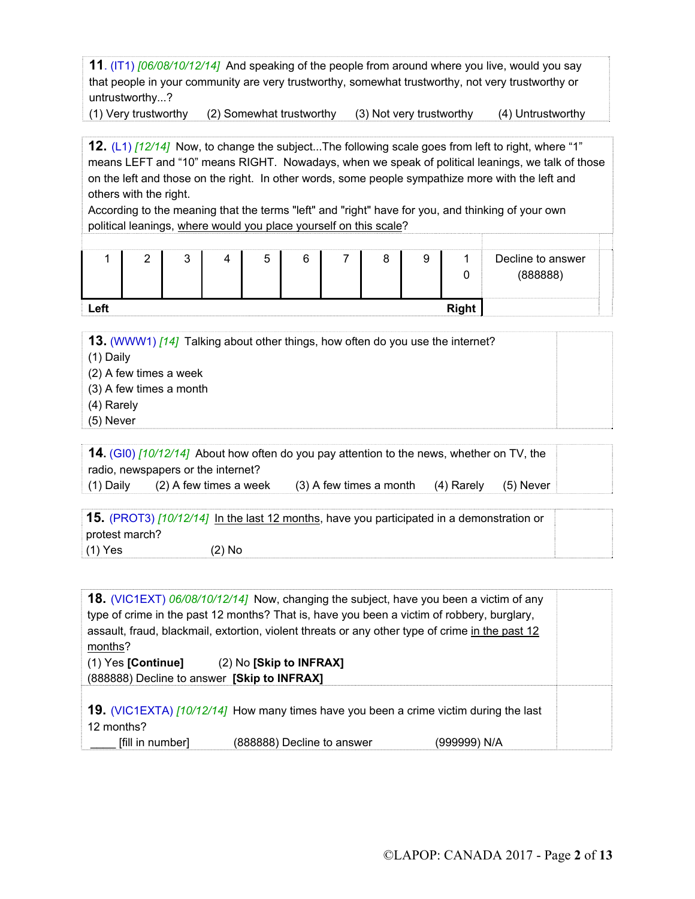**11**. (IT1) *[06/08/10/12/14]* And speaking of the people from around where you live, would you say that people in your community are very trustworthy, somewhat trustworthy, not very trustworthy or untrustworthy...?

(1) Very trustworthy (2) Somewhat trustworthy (3) Not very trustworthy (4) Untrustworthy

**12.** (L1) *[12/14]* Now, to change the subject...The following scale goes from left to right, where "1" means LEFT and "10" means RIGHT. Nowadays, when we speak of political leanings, we talk of those on the left and those on the right. In other words, some people sympathize more with the left and others with the right.

According to the meaning that the terms "left" and "right" have for you, and thinking of your own political leanings, where would you place yourself on this scale?

|      | c | ∽<br>J | ⌒ |  |       | Decline to answer<br>(888888) |
|------|---|--------|---|--|-------|-------------------------------|
| Left |   |        |   |  | Diahi |                               |

**13.** (WWW1) *[14]* Talking about other things, how often do you use the internet?

(1) Daily

- (2) A few times a week
- (3) A few times a month
- (4) Rarely
- (5) Never

| 14. (GI0) [10/12/14] About how often do you pay attention to the news, whether on TV, the |                                    |                                        |  |           |
|-------------------------------------------------------------------------------------------|------------------------------------|----------------------------------------|--|-----------|
|                                                                                           | radio, newspapers or the internet? |                                        |  |           |
| (1) Daily                                                                                 | (2) A few times a week             | $(3)$ A few times a month $(4)$ Rarely |  | (5) Never |

|                | 15. (PROT3) [10/12/14] In the last 12 months, have you participated in a demonstration or |  |
|----------------|-------------------------------------------------------------------------------------------|--|
| protest march? |                                                                                           |  |
| $(1)$ Yes      | $(2)$ No                                                                                  |  |

| months?                                                                                       | 18. (VIC1EXT) 06/08/10/12/14] Now, changing the subject, have you been a victim of any<br>type of crime in the past 12 months? That is, have you been a victim of robbery, burglary,<br>assault, fraud, blackmail, extortion, violent threats or any other type of crime in the past 12 |              |  |
|-----------------------------------------------------------------------------------------------|-----------------------------------------------------------------------------------------------------------------------------------------------------------------------------------------------------------------------------------------------------------------------------------------|--------------|--|
| $(1)$ Yes [Continue] $(2)$ No [Skip to INFRAX]<br>(888888) Decline to answer [Skip to INFRAX] |                                                                                                                                                                                                                                                                                         |              |  |
| 12 months?                                                                                    | 19. (VIC1EXTA) [10/12/14] How many times have you been a crime victim during the last                                                                                                                                                                                                   |              |  |
| [fill in number]                                                                              | (888888) Decline to answer                                                                                                                                                                                                                                                              | (999999) N/A |  |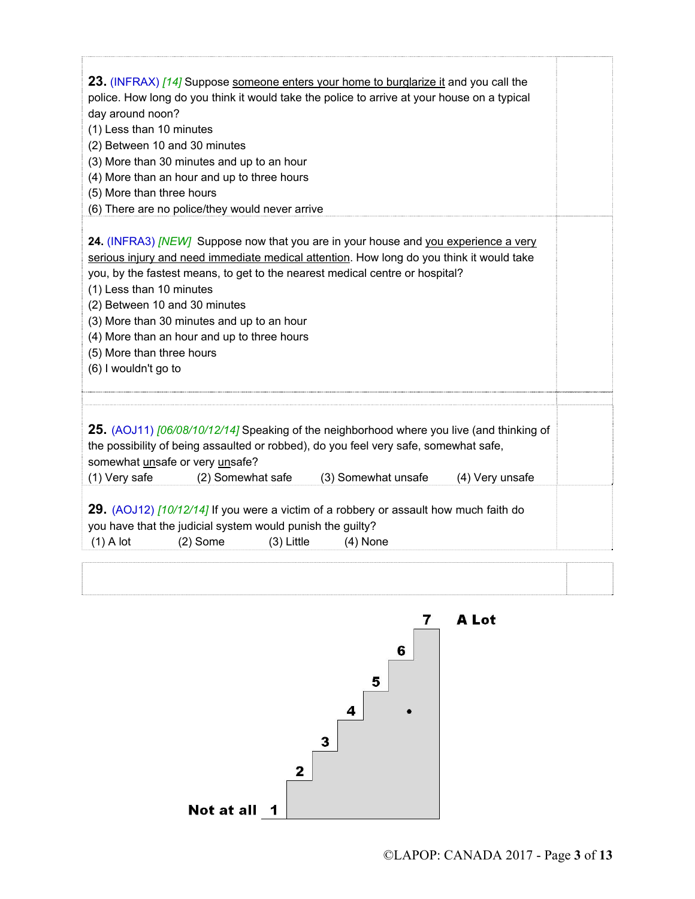| 23. (INFRAX) [14] Suppose someone enters your home to burglarize it and you call the<br>police. How long do you think it would take the police to arrive at your house on a typical<br>day around noon?<br>(1) Less than 10 minutes<br>(2) Between 10 and 30 minutes<br>(3) More than 30 minutes and up to an hour<br>(4) More than an hour and up to three hours<br>(5) More than three hours<br>(6) There are no police/they would never arrive                              |  |
|--------------------------------------------------------------------------------------------------------------------------------------------------------------------------------------------------------------------------------------------------------------------------------------------------------------------------------------------------------------------------------------------------------------------------------------------------------------------------------|--|
| 24. (INFRA3) [NEW] Suppose now that you are in your house and you experience a very<br>serious injury and need immediate medical attention. How long do you think it would take<br>you, by the fastest means, to get to the nearest medical centre or hospital?<br>(1) Less than 10 minutes<br>(2) Between 10 and 30 minutes<br>(3) More than 30 minutes and up to an hour<br>(4) More than an hour and up to three hours<br>(5) More than three hours<br>(6) I wouldn't go to |  |
|                                                                                                                                                                                                                                                                                                                                                                                                                                                                                |  |
| 25. (AOJ11) [06/08/10/12/14] Speaking of the neighborhood where you live (and thinking of<br>the possibility of being assaulted or robbed), do you feel very safe, somewhat safe,<br>somewhat unsafe or very unsafe?<br>(1) Very safe<br>(2) Somewhat safe<br>(3) Somewhat unsafe<br>(4) Very unsafe                                                                                                                                                                           |  |
| 29. (AOJ12) [10/12/14] If you were a victim of a robbery or assault how much faith do<br>you have that the judicial system would punish the guilty?<br>$(2)$ Some<br>$(3)$ Little<br>$(1)$ A lot<br>$(4)$ None                                                                                                                                                                                                                                                                 |  |

ſ

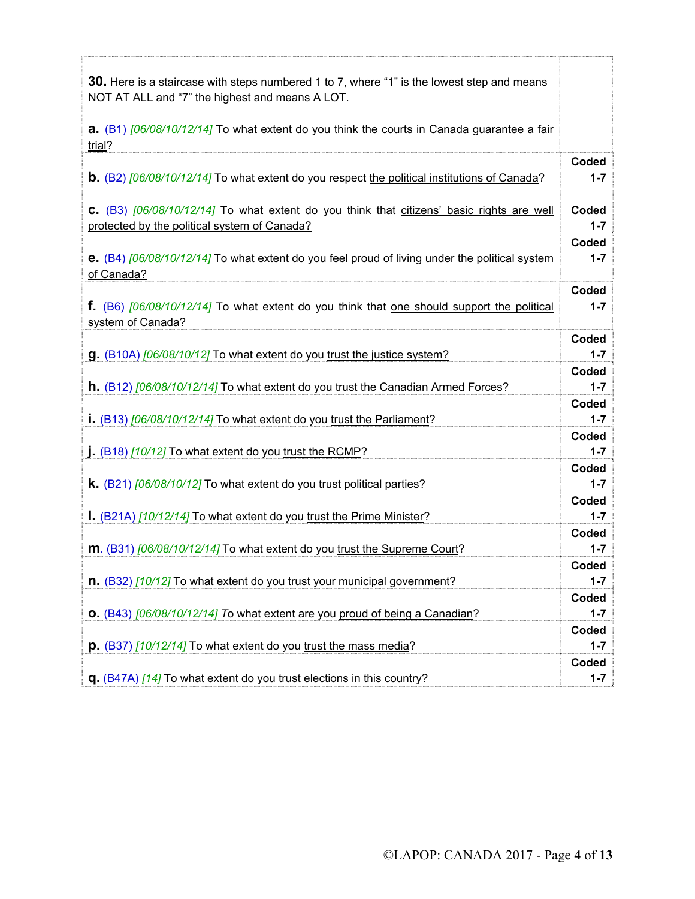| 30. Here is a staircase with steps numbered 1 to 7, where "1" is the lowest step and means<br>NOT AT ALL and "7" the highest and means A LOT. |                  |
|-----------------------------------------------------------------------------------------------------------------------------------------------|------------------|
| <b>a.</b> (B1) $[06/08/10/12/14]$ To what extent do you think the courts in Canada guarantee a fair<br>trial?                                 |                  |
| <b>b.</b> (B2) $[06/08/10/12/14]$ To what extent do you respect the political institutions of Canada?                                         | Coded<br>$1 - 7$ |
| C. (B3) [06/08/10/12/14] To what extent do you think that citizens' basic rights are well<br>protected by the political system of Canada?     | Coded<br>$1 - 7$ |
| e. (B4) [06/08/10/12/14] To what extent do you feel proud of living under the political system<br>of Canada?                                  | Coded<br>$1 - 7$ |
| <b>f.</b> (B6) [06/08/10/12/14] To what extent do you think that one should support the political<br>system of Canada?                        | Coded<br>$1 - 7$ |
| g. (B10A) [06/08/10/12] To what extent do you trust the justice system?                                                                       | Coded<br>$1 - 7$ |
| <b>h.</b> (B12) [06/08/10/12/14] To what extent do you trust the Canadian Armed Forces?                                                       | Coded<br>$1 - 7$ |
| i. (B13) [06/08/10/12/14] To what extent do you trust the Parliament?                                                                         | Coded<br>$1 - 7$ |
| $\int$ . (B18) [10/12] To what extent do you trust the RCMP?                                                                                  | Coded<br>$1 - 7$ |
| <b>k.</b> (B21) [06/08/10/12] To what extent do you trust political parties?                                                                  | Coded<br>$1 - 7$ |
| I. (B21A) [10/12/14] To what extent do you trust the Prime Minister?                                                                          | Coded<br>$1 - 7$ |
| m. (B31) [06/08/10/12/14] To what extent do you trust the Supreme Court?                                                                      | Coded<br>$1 - 7$ |
| n. (B32) [10/12] To what extent do you trust your municipal government?                                                                       | Coded<br>$1 - 7$ |
| 0. (B43) [06/08/10/12/14] To what extent are you proud of being a Canadian?                                                                   | Coded<br>$1 - 7$ |
| $\mathbf{p}$ . (B37) [10/12/14] To what extent do you trust the mass media?                                                                   | Coded<br>$1 - 7$ |
| q. (B47A) [14] To what extent do you trust elections in this country?                                                                         | Coded<br>$1 - 7$ |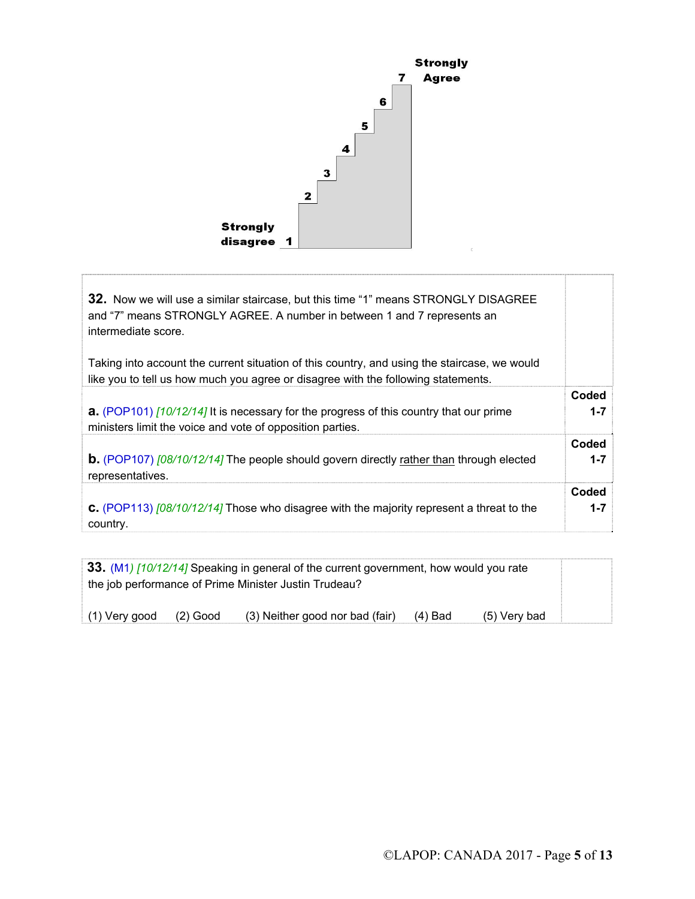

| <b>32.</b> Now we will use a similar staircase, but this time "1" means STRONGLY DISAGREE<br>and "7" means STRONGLY AGREE. A number in between 1 and 7 represents an<br>intermediate score. |         |
|---------------------------------------------------------------------------------------------------------------------------------------------------------------------------------------------|---------|
| Taking into account the current situation of this country, and using the staircase, we would<br>like you to tell us how much you agree or disagree with the following statements.           |         |
| <b>a.</b> (POP101) [10/12/14] It is necessary for the progress of this country that our prime                                                                                               | Coded   |
| ministers limit the voice and vote of opposition parties.                                                                                                                                   | $1 - 7$ |
| <b>b.</b> (POP107) [08/10/12/14] The people should govern directly rather than through elected                                                                                              | Coded   |
| representatives.                                                                                                                                                                            | $1 - 7$ |
| <b>C.</b> (POP113) $\frac{108}{10/12}{12}$ Those who disagree with the majority represent a threat to the                                                                                   | Coded   |
| country.                                                                                                                                                                                    | $1 - 7$ |

|               |            | 33. (M1) [10/12/14] Speaking in general of the current government, how would you rate<br>the job performance of Prime Minister Justin Trudeau? |           |                |  |
|---------------|------------|------------------------------------------------------------------------------------------------------------------------------------------------|-----------|----------------|--|
| (1) Very good | $(2)$ Good | (3) Neither good nor bad (fair)                                                                                                                | $(4)$ Bad | $(5)$ Very bad |  |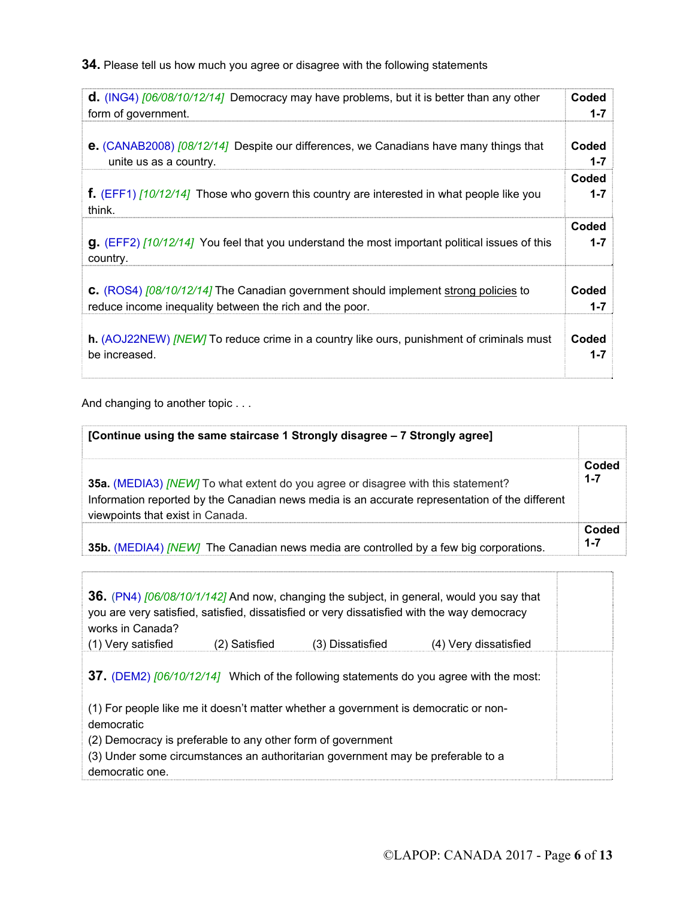**34.** Please tell us how much you agree or disagree with the following statements

| <b>d.</b> (ING4) $[06/08/10/12/14]$ Democracy may have problems, but it is better than any other              | Coded   |
|---------------------------------------------------------------------------------------------------------------|---------|
| form of government.                                                                                           | $1 - 7$ |
| <b>e.</b> (CANAB2008) [08/12/14] Despite our differences, we Canadians have many things that                  | Coded   |
| unite us as a country.                                                                                        | $1 - 7$ |
| <b>f.</b> (EFF1) $\left[10/12/14\right]$ Those who govern this country are interested in what people like you | Coded   |
| think.                                                                                                        | $1 - 7$ |
| <b>g.</b> (EFF2) [10/12/14] You feel that you understand the most important political issues of this          | Coded   |
| country.                                                                                                      | $1 - 7$ |
| <b>C.</b> (ROS4) [08/10/12/14] The Canadian government should implement strong policies to                    | Coded   |
| reduce income inequality between the rich and the poor.                                                       | $1 - 7$ |
| h. (AOJ22NEW) <i>[NEW]</i> To reduce crime in a country like ours, punishment of criminals must               | Coded   |
| be increased.                                                                                                 | $1 - 7$ |

And changing to another topic . . .

ſ

| [Continue using the same staircase 1 Strongly disagree - 7 Strongly agree]                                                                                                                                                    |                  |
|-------------------------------------------------------------------------------------------------------------------------------------------------------------------------------------------------------------------------------|------------------|
| 35a. (MEDIA3) <i>[NEW]</i> To what extent do you agree or disagree with this statement?<br>Information reported by the Canadian news media is an accurate representation of the different<br>viewpoints that exist in Canada. | Coded<br>$1 - 7$ |
| 35b. (MEDIA4) <i>[NEW]</i> The Canadian news media are controlled by a few big corporations.                                                                                                                                  | Coded<br>$1 - 7$ |

| works in Canada?                                                                                  |               |                                                                                 | 36. (PN4) [06/08/10/1/142] And now, changing the subject, in general, would you say that<br>you are very satisfied, satisfied, dissatisfied or very dissatisfied with the way democracy |  |  |  |
|---------------------------------------------------------------------------------------------------|---------------|---------------------------------------------------------------------------------|-----------------------------------------------------------------------------------------------------------------------------------------------------------------------------------------|--|--|--|
| (1) Very satisfied                                                                                | (2) Satisfied | (3) Dissatisfied                                                                | (4) Very dissatisfied                                                                                                                                                                   |  |  |  |
|                                                                                                   |               |                                                                                 | 37. (DEM2) [06/10/12/14] Which of the following statements do you agree with the most:                                                                                                  |  |  |  |
| (1) For people like me it doesn't matter whether a government is democratic or non-<br>democratic |               |                                                                                 |                                                                                                                                                                                         |  |  |  |
| (2) Democracy is preferable to any other form of government<br>democratic one.                    |               | (3) Under some circumstances an authoritarian government may be preferable to a |                                                                                                                                                                                         |  |  |  |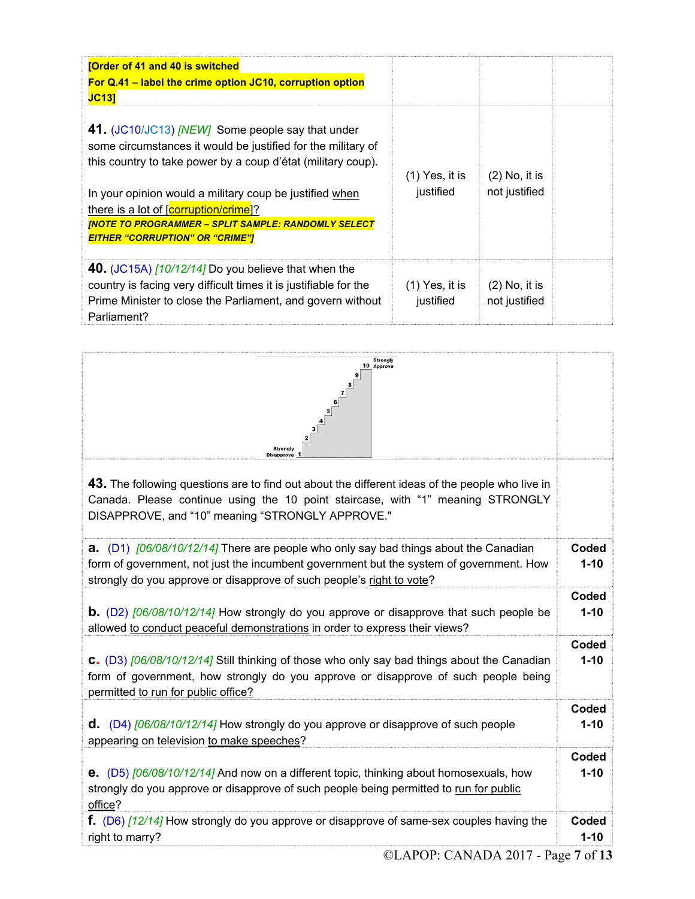| [Order of 41 and 40 is switched<br>For Q.41 - label the crime option JC10, corruption option<br><b>JC131</b>                                                                                                                                                                                                                                                                                 |                               |                                  |  |
|----------------------------------------------------------------------------------------------------------------------------------------------------------------------------------------------------------------------------------------------------------------------------------------------------------------------------------------------------------------------------------------------|-------------------------------|----------------------------------|--|
| 41. (JC10/JC13) [NEW] Some people say that under<br>some circumstances it would be justified for the military of<br>this country to take power by a coup d'état (military coup).<br>In your opinion would a military coup be justified when<br>there is a lot of [corruption/crime]?<br><b>INOTE TO PROGRAMMER - SPLIT SAMPLE: RANDOMLY SELECT</b><br><b>EITHER "CORRUPTION" OR "CRIME"]</b> | (1) Yes, it is<br>justified   | $(2)$ No, it is<br>not justified |  |
| 40. $(JC15A)$ $\left[10/12/14\right]$ Do you believe that when the<br>country is facing very difficult times it is justifiable for the<br>Prime Minister to close the Parliament, and govern without<br>Parliament?                                                                                                                                                                          | $(1)$ Yes, it is<br>justified | $(2)$ No, it is<br>not justified |  |

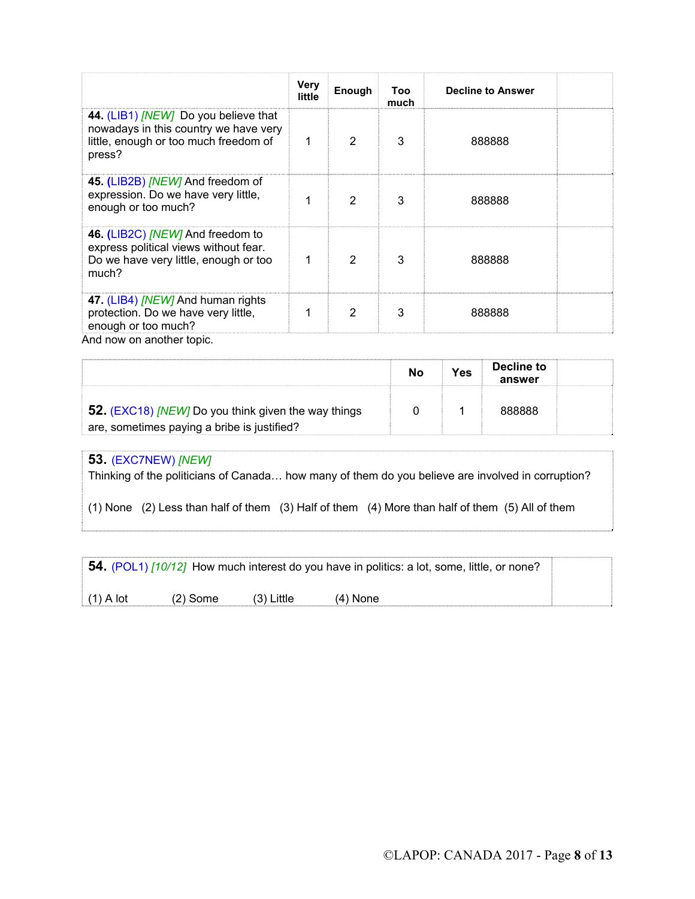|                                                                                                                                         | Very<br>little | Enough         | Too<br>much | <b>Decline to Answer</b> |
|-----------------------------------------------------------------------------------------------------------------------------------------|----------------|----------------|-------------|--------------------------|
| 44. (LIB1) <i>[NEW]</i> Do you believe that<br>nowadays in this country we have very<br>little, enough or too much freedom of<br>press? |                | $\mathfrak{p}$ | 3           | 888888                   |
| 45. (LIB2B) [NEW] And freedom of<br>expression. Do we have very little,<br>enough or too much?                                          |                | 2              | 3           | 888888                   |
| 46. (LIB2C) [NEW] And freedom to<br>express political views without fear.<br>Do we have very little, enough or too<br>much?             |                | 2              | 3           | 888888                   |
| 47. (LIB4) <i>[NEW]</i> And human rights<br>protection. Do we have very little,<br>enough or too much?<br>And now on another topic.     |                | 2              | 3           | 888888                   |

|                                                                                                    | N٥ | Yes | Decline to<br>answer |  |
|----------------------------------------------------------------------------------------------------|----|-----|----------------------|--|
| 52. (EXC18) [NEW] Do you think given the way things<br>are, sometimes paying a bribe is justified? |    |     |                      |  |

## **53.** (EXC7NEW) *[NEW]*

Thinking of the politicians of Canada… how many of them do you believe are involved in corruption?

(1) None (2) Less than half of them (3) Half of them (4) More than half of them (5) All of them

**54.** (POL1) *[10/12]* How much interest do you have in politics: a lot, some, little, or none?

 $(1)$  A lot  $(2)$  Some  $(3)$  Little  $(4)$  None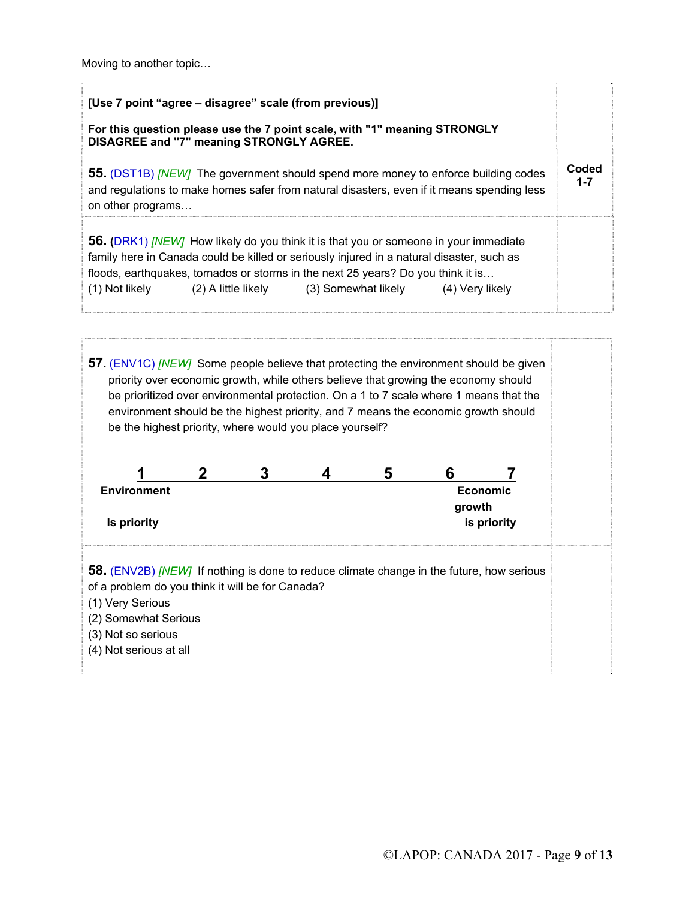Moving to another topic…

| [Use 7 point "agree – disagree" scale (from previous)]<br>For this question please use the 7 point scale, with "1" meaning STRONGLY<br><b>DISAGREE and "7" meaning STRONGLY AGREE.</b>                                                                                                                                                                        |                  |
|---------------------------------------------------------------------------------------------------------------------------------------------------------------------------------------------------------------------------------------------------------------------------------------------------------------------------------------------------------------|------------------|
| <b>55.</b> (DST1B) <i>[NEW]</i> The government should spend more money to enforce building codes<br>and regulations to make homes safer from natural disasters, even if it means spending less<br>on other programs                                                                                                                                           | Coded<br>$1 - 7$ |
| <b>56.</b> (DRK1) <i>[NEW]</i> How likely do you think it is that you or someone in your immediate<br>family here in Canada could be killed or seriously injured in a natural disaster, such as<br>floods, earthquakes, tornados or storms in the next 25 years? Do you think it is<br>(1) Not likely (2) A little likely (3) Somewhat likely (4) Very likely |                  |

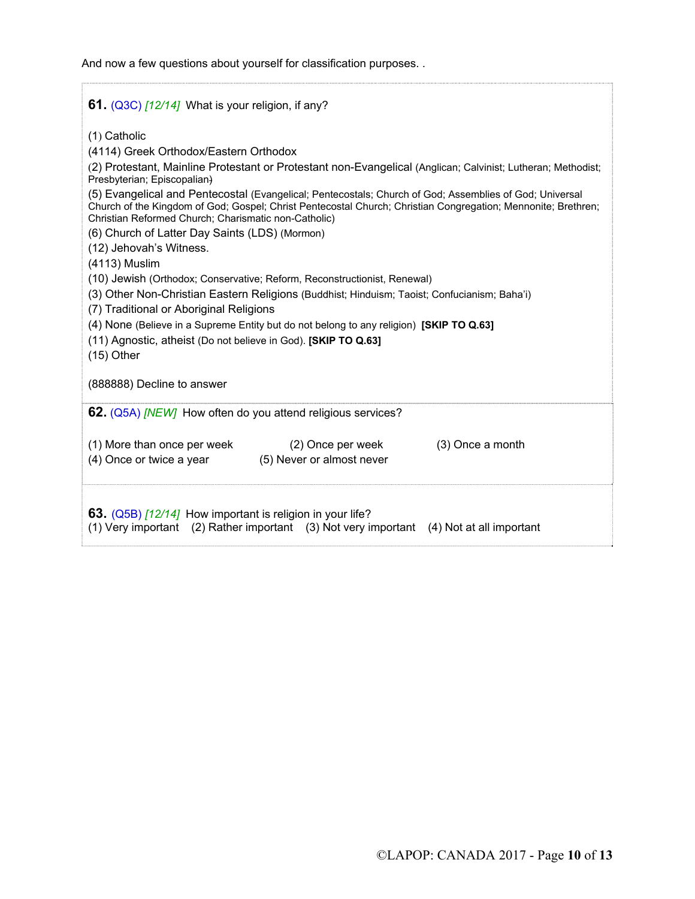And now a few questions about yourself for classification purposes. .

| 61. $(Q3C)$ $[12/14]$ What is your religion, if any?                                                                                                                                                                                                                                                                                                                                                                                                                                                                                                                                                                                                                                                                                                                                                                                                                                                                                                                                                                      |  |  |  |  |
|---------------------------------------------------------------------------------------------------------------------------------------------------------------------------------------------------------------------------------------------------------------------------------------------------------------------------------------------------------------------------------------------------------------------------------------------------------------------------------------------------------------------------------------------------------------------------------------------------------------------------------------------------------------------------------------------------------------------------------------------------------------------------------------------------------------------------------------------------------------------------------------------------------------------------------------------------------------------------------------------------------------------------|--|--|--|--|
| (1) Catholic<br>(4114) Greek Orthodox/Eastern Orthodox<br>(2) Protestant, Mainline Protestant or Protestant non-Evangelical (Anglican; Calvinist; Lutheran; Methodist;<br>Presbyterian; Episcopalian)<br>(5) Evangelical and Pentecostal (Evangelical; Pentecostals; Church of God; Assemblies of God; Universal<br>Church of the Kingdom of God; Gospel; Christ Pentecostal Church; Christian Congregation; Mennonite; Brethren;<br>Christian Reformed Church; Charismatic non-Catholic)<br>(6) Church of Latter Day Saints (LDS) (Mormon)<br>(12) Jehovah's Witness.<br>(4113) Muslim<br>(10) Jewish (Orthodox; Conservative; Reform, Reconstructionist, Renewal)<br>(3) Other Non-Christian Eastern Religions (Buddhist; Hinduism; Taoist; Confucianism; Baha'i)<br>(7) Traditional or Aboriginal Religions<br>(4) None (Believe in a Supreme Entity but do not belong to any religion) [SKIP TO Q.63]<br>(11) Agnostic, atheist (Do not believe in God). [SKIP TO Q.63]<br>$(15)$ Other<br>(888888) Decline to answer |  |  |  |  |
| 62. (Q5A) [NEW] How often do you attend religious services?                                                                                                                                                                                                                                                                                                                                                                                                                                                                                                                                                                                                                                                                                                                                                                                                                                                                                                                                                               |  |  |  |  |
| (3) Once a month<br>(1) More than once per week<br>(2) Once per week<br>(4) Once or twice a year (5) Never or almost never                                                                                                                                                                                                                                                                                                                                                                                                                                                                                                                                                                                                                                                                                                                                                                                                                                                                                                |  |  |  |  |
| 63. (Q5B) [12/14] How important is religion in your life?<br>(1) Very important (2) Rather important (3) Not very important (4) Not at all important                                                                                                                                                                                                                                                                                                                                                                                                                                                                                                                                                                                                                                                                                                                                                                                                                                                                      |  |  |  |  |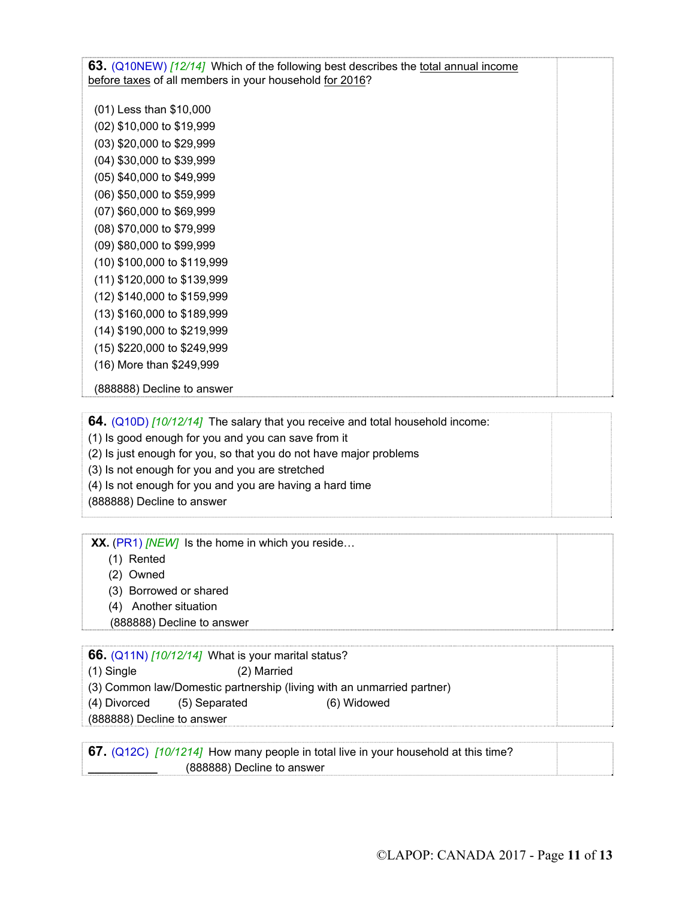**63.** (Q10NEW) *[12/14]* Which of the following best describes the total annual income before taxes of all members in your household for 2016?

(01) Less than \$10,000 (02) \$10,000 to \$19,999 (03) \$20,000 to \$29,999 (04) \$30,000 to \$39,999 (05) \$40,000 to \$49,999 (06) \$50,000 to \$59,999 (07) \$60,000 to \$69,999 (08) \$70,000 to \$79,999 (09) \$80,000 to \$99,999 (10) \$100,000 to \$119,999 (11) \$120,000 to \$139,999 (12) \$140,000 to \$159,999 (13) \$160,000 to \$189,999 (14) \$190,000 to \$219,999 (15) \$220,000 to \$249,999

(16) More than \$249,999

(888888) Decline to answer

**64.** (Q10D) *[10/12/14]* The salary that you receive and total household income:

(1) Is good enough for you and you can save from it

(2) Is just enough for you, so that you do not have major problems

(3) Is not enough for you and you are stretched

(4) Is not enough for you and you are having a hard time

(888888) Decline to answer

**XX.** (PR1) *[NEW]*Is the home in which you reside…

- (1) Rented
- (2) Owned
- (3) Borrowed or shared
- (4) Another situation

(888888) Decline to answer

**66.** (Q11N) *[10/12/14]* What is your marital status?

| $(1)$ Single | (2) Married |
|--------------|-------------|
|--------------|-------------|

(3) Common law/Domestic partnership (living with an unmarried partner)

(4) Divorced (5) Separated (6) Widowed

(888888) Decline to answer

**67.** (Q12C)*[10/1214]* How many people in total live in your household at this time? **\_\_\_\_\_\_\_\_\_\_\_** (888888) Decline to answer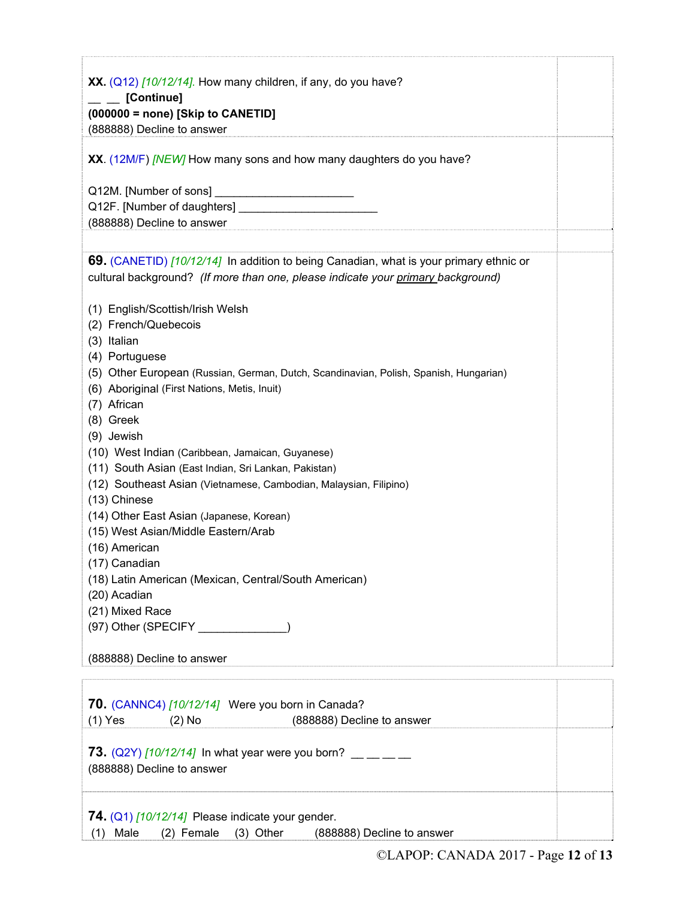| XX. $(Q12)$ [10/12/14]. How many children, if any, do you have?                        |
|----------------------------------------------------------------------------------------|
| [Continue]<br>$(000000 = none)$ [Skip to CANETID]                                      |
| (888888) Decline to answer                                                             |
|                                                                                        |
| XX. (12M/F) [NEW] How many sons and how many daughters do you have?                    |
| Q12M. [Number of sons]                                                                 |
|                                                                                        |
| (888888) Decline to answer                                                             |
|                                                                                        |
| 69. (CANETID) [10/12/14] In addition to being Canadian, what is your primary ethnic or |
| cultural background? (If more than one, please indicate your primary background)       |
|                                                                                        |
| (1) English/Scottish/Irish Welsh                                                       |
| (2) French/Quebecois                                                                   |
| (3) Italian                                                                            |
| (4) Portuguese                                                                         |
| (5) Other European (Russian, German, Dutch, Scandinavian, Polish, Spanish, Hungarian)  |
| (6) Aboriginal (First Nations, Metis, Inuit)<br>(7) African                            |
| (8) Greek                                                                              |
| (9) Jewish                                                                             |
| (10) West Indian (Caribbean, Jamaican, Guyanese)                                       |
| (11) South Asian (East Indian, Sri Lankan, Pakistan)                                   |
| (12) Southeast Asian (Vietnamese, Cambodian, Malaysian, Filipino)                      |
| (13) Chinese                                                                           |
| (14) Other East Asian (Japanese, Korean)                                               |
| (15) West Asian/Middle Eastern/Arab                                                    |
| (16) American                                                                          |
| (17) Canadian                                                                          |
| (18) Latin American (Mexican, Central/South American)<br>(20) Acadian                  |
| (21) Mixed Race                                                                        |
| (97) Other (SPECIFY ______________)                                                    |
|                                                                                        |
| (888888) Decline to answer                                                             |
|                                                                                        |
|                                                                                        |
| 70. (CANNC4) [10/12/14] Were you born in Canada?                                       |
| (888888) Decline to answer<br>$(1)$ Yes<br>$(2)$ No                                    |
| 73. $(Q2Y)$ [10/12/14] In what year were you born? $\_\_$                              |
| (888888) Decline to answer                                                             |
|                                                                                        |
|                                                                                        |
| 74. ( $Q1$ ) [10/12/14] Please indicate your gender.                                   |
| Male<br>(2) Female<br>$(3)$ Other<br>(1)<br>(888888) Decline to answer                 |